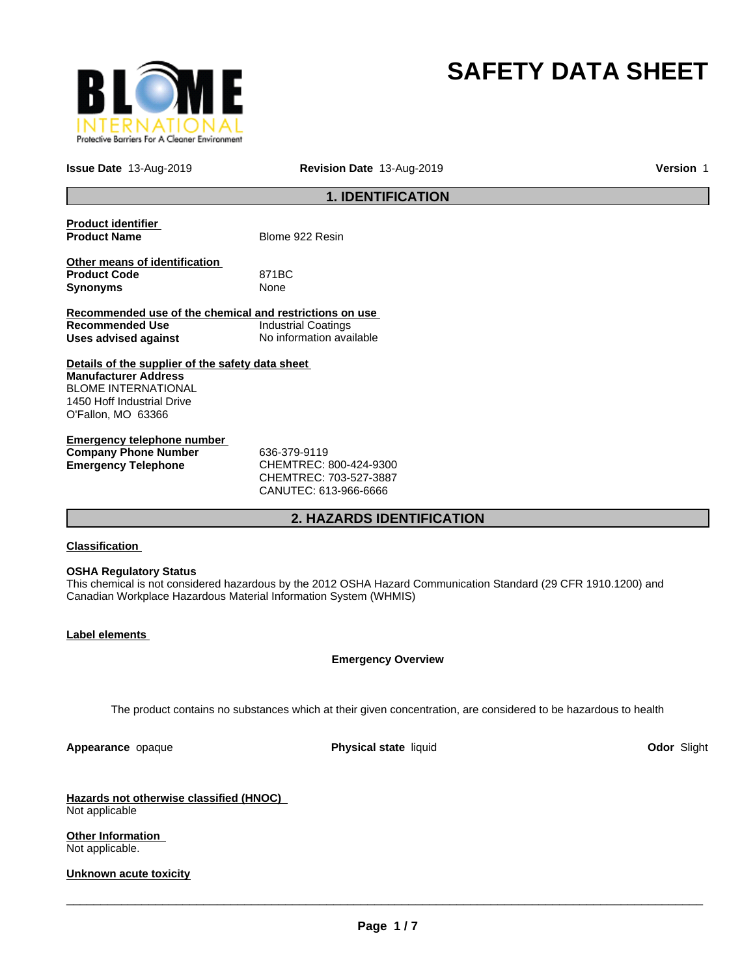

# **SAFETY DATA SHEET**

**Issue Date** 13-Aug-2019 **Revision Date** 13-Aug-2019 **Version** 1

## **1. IDENTIFICATION**

| <b>Product identifier</b><br><b>Product Name</b>                 | Blome 922 Resin                                                                                                 |             |
|------------------------------------------------------------------|-----------------------------------------------------------------------------------------------------------------|-------------|
|                                                                  |                                                                                                                 |             |
| Other means of identification                                    |                                                                                                                 |             |
| <b>Product Code</b>                                              | 871BC                                                                                                           |             |
| <b>Synonyms</b>                                                  | None                                                                                                            |             |
| Recommended use of the chemical and restrictions on use          |                                                                                                                 |             |
| <b>Recommended Use</b>                                           | <b>Industrial Coatings</b>                                                                                      |             |
| Uses advised against                                             | No information available                                                                                        |             |
| Details of the supplier of the safety data sheet                 |                                                                                                                 |             |
| <b>Manufacturer Address</b>                                      |                                                                                                                 |             |
| <b>BLOME INTERNATIONAL</b>                                       |                                                                                                                 |             |
| 1450 Hoff Industrial Drive                                       |                                                                                                                 |             |
| O'Fallon, MO 63366                                               |                                                                                                                 |             |
| <b>Emergency telephone number</b>                                |                                                                                                                 |             |
| <b>Company Phone Number</b>                                      | 636-379-9119                                                                                                    |             |
| <b>Emergency Telephone</b>                                       | CHEMTREC: 800-424-9300                                                                                          |             |
|                                                                  | CHEMTREC: 703-527-3887                                                                                          |             |
|                                                                  | CANUTEC: 613-966-6666                                                                                           |             |
|                                                                  |                                                                                                                 |             |
|                                                                  | 2. HAZARDS IDENTIFICATION                                                                                       |             |
|                                                                  |                                                                                                                 |             |
| <b>Classification</b>                                            |                                                                                                                 |             |
| <b>OSHA Regulatory Status</b>                                    |                                                                                                                 |             |
|                                                                  | This chemical is not considered hazardous by the 2012 OSHA Hazard Communication Standard (29 CFR 1910.1200) and |             |
| Canadian Workplace Hazardous Material Information System (WHMIS) |                                                                                                                 |             |
|                                                                  |                                                                                                                 |             |
|                                                                  |                                                                                                                 |             |
| Label elements                                                   |                                                                                                                 |             |
|                                                                  | <b>Emergency Overview</b>                                                                                       |             |
|                                                                  |                                                                                                                 |             |
|                                                                  |                                                                                                                 |             |
|                                                                  | The product contains no substances which at their given concentration, are considered to be hazardous to health |             |
|                                                                  |                                                                                                                 |             |
| Appearance opaque                                                | Physical state liquid                                                                                           | Odor Slight |
|                                                                  |                                                                                                                 |             |
| Hazards not otherwise classified (HNOC)                          |                                                                                                                 |             |
| Not applicable                                                   |                                                                                                                 |             |

**Other Information**  Not applicable.

**Unknown acute toxicity**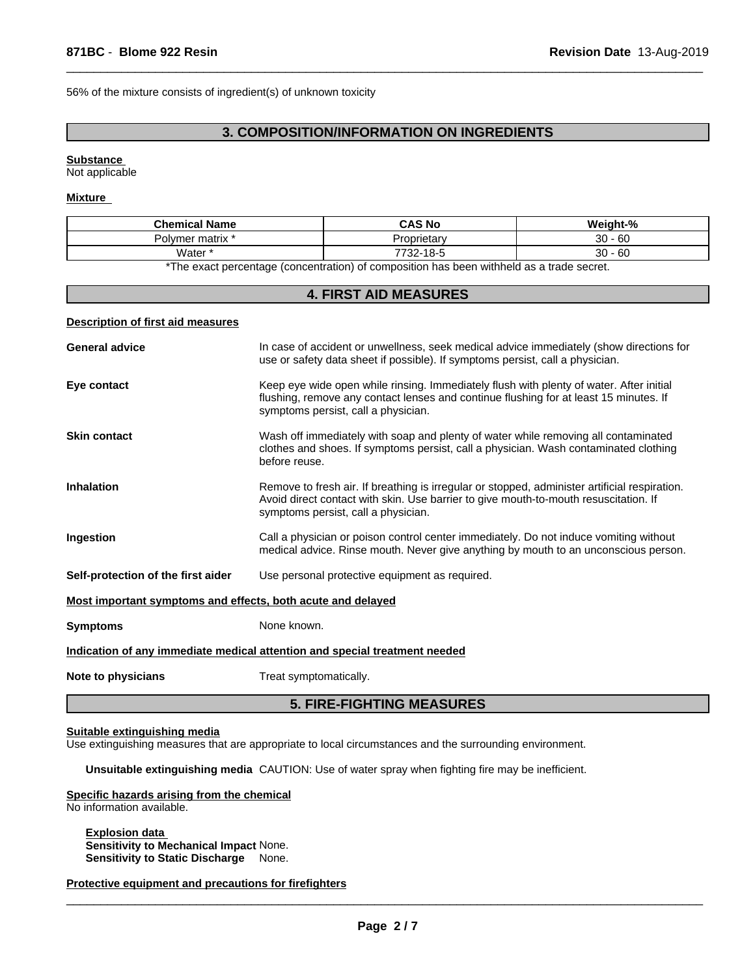56% of the mixture consists of ingredient(s) of unknown toxicity

## **3. COMPOSITION/INFORMATION ON INGREDIENTS**

 $\overline{\phantom{a}}$  ,  $\overline{\phantom{a}}$  ,  $\overline{\phantom{a}}$  ,  $\overline{\phantom{a}}$  ,  $\overline{\phantom{a}}$  ,  $\overline{\phantom{a}}$  ,  $\overline{\phantom{a}}$  ,  $\overline{\phantom{a}}$  ,  $\overline{\phantom{a}}$  ,  $\overline{\phantom{a}}$  ,  $\overline{\phantom{a}}$  ,  $\overline{\phantom{a}}$  ,  $\overline{\phantom{a}}$  ,  $\overline{\phantom{a}}$  ,  $\overline{\phantom{a}}$  ,  $\overline{\phantom{a}}$ 

### **Substance**

Not applicable

## **Mixture**

| Chemical.<br>Name      | <b>CAS No</b>                                  | $^{\circ}$<br>Mojob+               |
|------------------------|------------------------------------------------|------------------------------------|
| vmer matrix *<br>' ا ب | slar                                           | $30^{\circ}$<br>$\sim$<br>юC<br>ບບ |
| Water *                | $\sim$ $\sim$ $\sim$<br>770<br><br>10-C<br>-∠ت | ٦C<br>$\sim$<br>-60<br>◡◡          |

\*The exact percentage (concentration) of composition has been withheld as a trade secret.

## **4. FIRST AID MEASURES**

#### **Description of first aid measures**

| <b>General advice</b>                                       | In case of accident or unwellness, seek medical advice immediately (show directions for<br>use or safety data sheet if possible). If symptoms persist, call a physician.                                                     |
|-------------------------------------------------------------|------------------------------------------------------------------------------------------------------------------------------------------------------------------------------------------------------------------------------|
| Eye contact                                                 | Keep eye wide open while rinsing. Immediately flush with plenty of water. After initial<br>flushing, remove any contact lenses and continue flushing for at least 15 minutes. If<br>symptoms persist, call a physician.      |
| <b>Skin contact</b>                                         | Wash off immediately with soap and plenty of water while removing all contaminated<br>clothes and shoes. If symptoms persist, call a physician. Wash contaminated clothing<br>before reuse.                                  |
| <b>Inhalation</b>                                           | Remove to fresh air. If breathing is irregular or stopped, administer artificial respiration.<br>Avoid direct contact with skin. Use barrier to give mouth-to-mouth resuscitation. If<br>symptoms persist, call a physician. |
| Ingestion                                                   | Call a physician or poison control center immediately. Do not induce vomiting without<br>medical advice. Rinse mouth. Never give anything by mouth to an unconscious person.                                                 |
| Self-protection of the first aider                          | Use personal protective equipment as required.                                                                                                                                                                               |
| Most important symptoms and effects, both acute and delayed |                                                                                                                                                                                                                              |
| <b>Symptoms</b>                                             | None known.                                                                                                                                                                                                                  |
|                                                             | Indication of any immediate medical attention and special treatment needed                                                                                                                                                   |
| Note to physicians                                          | Treat symptomatically.                                                                                                                                                                                                       |
|                                                             |                                                                                                                                                                                                                              |

## **5. FIRE-FIGHTING MEASURES**

#### **Suitable extinguishing media**

Use extinguishing measures that are appropriate to local circumstances and the surrounding environment.

**Unsuitable extinguishing media** CAUTION: Use of water spray when fighting fire may be inefficient.

### **Specific hazards arising from the chemical**

No information available.

**Explosion data Sensitivity to Mechanical Impact** None. **Sensitivity to Static Discharge** None.

**Protective equipment and precautions for firefighters**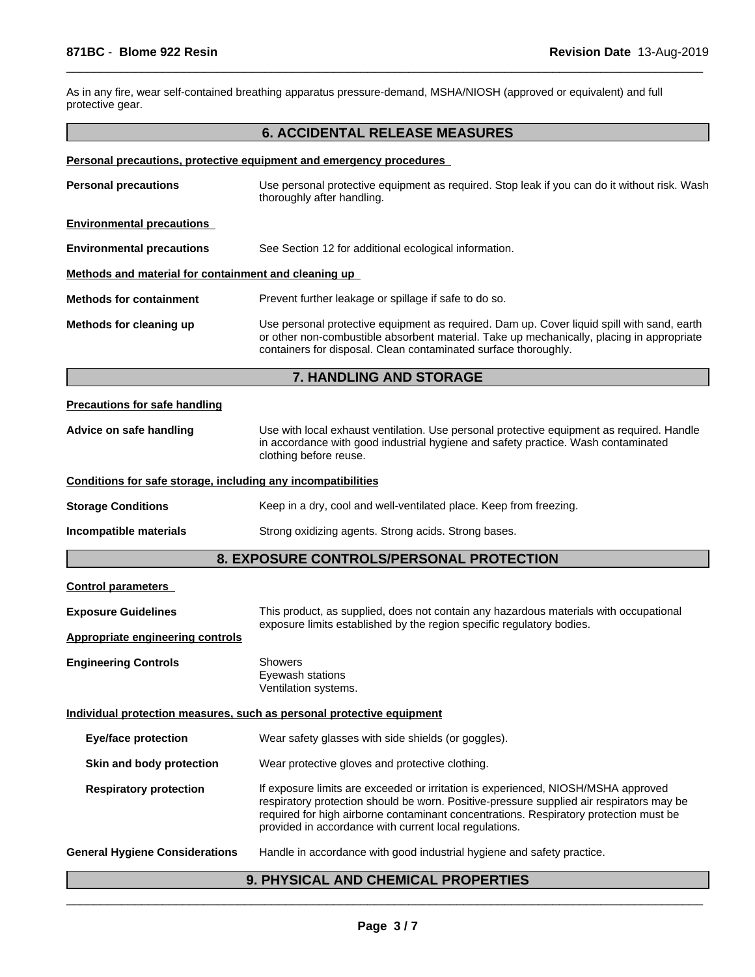As in any fire, wear self-contained breathing apparatus pressure-demand, MSHA/NIOSH (approved or equivalent) and full protective gear.

# **6. ACCIDENTAL RELEASE MEASURES**

 $\overline{\phantom{a}}$  ,  $\overline{\phantom{a}}$  ,  $\overline{\phantom{a}}$  ,  $\overline{\phantom{a}}$  ,  $\overline{\phantom{a}}$  ,  $\overline{\phantom{a}}$  ,  $\overline{\phantom{a}}$  ,  $\overline{\phantom{a}}$  ,  $\overline{\phantom{a}}$  ,  $\overline{\phantom{a}}$  ,  $\overline{\phantom{a}}$  ,  $\overline{\phantom{a}}$  ,  $\overline{\phantom{a}}$  ,  $\overline{\phantom{a}}$  ,  $\overline{\phantom{a}}$  ,  $\overline{\phantom{a}}$ 

|  |  | Personal precautions, protective equipment and emergency procedures |  |
|--|--|---------------------------------------------------------------------|--|
|  |  |                                                                     |  |

| <b>Personal precautions</b>                                  | Use personal protective equipment as required. Stop leak if you can do it without risk. Wash<br>thoroughly after handling.                                                                                                                                                                                                       |
|--------------------------------------------------------------|----------------------------------------------------------------------------------------------------------------------------------------------------------------------------------------------------------------------------------------------------------------------------------------------------------------------------------|
| <b>Environmental precautions</b>                             |                                                                                                                                                                                                                                                                                                                                  |
| <b>Environmental precautions</b>                             | See Section 12 for additional ecological information.                                                                                                                                                                                                                                                                            |
| Methods and material for containment and cleaning up         |                                                                                                                                                                                                                                                                                                                                  |
| <b>Methods for containment</b>                               | Prevent further leakage or spillage if safe to do so.                                                                                                                                                                                                                                                                            |
| Methods for cleaning up                                      | Use personal protective equipment as required. Dam up. Cover liquid spill with sand, earth<br>or other non-combustible absorbent material. Take up mechanically, placing in appropriate<br>containers for disposal. Clean contaminated surface thoroughly.                                                                       |
|                                                              | 7. HANDLING AND STORAGE                                                                                                                                                                                                                                                                                                          |
| <b>Precautions for safe handling</b>                         |                                                                                                                                                                                                                                                                                                                                  |
| Advice on safe handling                                      | Use with local exhaust ventilation. Use personal protective equipment as required. Handle<br>in accordance with good industrial hygiene and safety practice. Wash contaminated<br>clothing before reuse.                                                                                                                         |
| Conditions for safe storage, including any incompatibilities |                                                                                                                                                                                                                                                                                                                                  |
| <b>Storage Conditions</b>                                    | Keep in a dry, cool and well-ventilated place. Keep from freezing.                                                                                                                                                                                                                                                               |
| Incompatible materials                                       | Strong oxidizing agents. Strong acids. Strong bases.                                                                                                                                                                                                                                                                             |
|                                                              | 8. EXPOSURE CONTROLS/PERSONAL PROTECTION                                                                                                                                                                                                                                                                                         |
| <b>Control parameters</b>                                    |                                                                                                                                                                                                                                                                                                                                  |
| <b>Exposure Guidelines</b>                                   | This product, as supplied, does not contain any hazardous materials with occupational                                                                                                                                                                                                                                            |
| <b>Appropriate engineering controls</b>                      | exposure limits established by the region specific regulatory bodies.                                                                                                                                                                                                                                                            |
| <b>Engineering Controls</b>                                  | Showers<br>Eyewash stations<br>Ventilation systems.                                                                                                                                                                                                                                                                              |
|                                                              | Individual protection measures, such as personal protective equipment                                                                                                                                                                                                                                                            |
| <b>Eye/face protection</b>                                   | Wear safety glasses with side shields (or goggles).                                                                                                                                                                                                                                                                              |
| Skin and body protection                                     | Wear protective gloves and protective clothing.                                                                                                                                                                                                                                                                                  |
| <b>Respiratory protection</b>                                | If exposure limits are exceeded or irritation is experienced, NIOSH/MSHA approved<br>respiratory protection should be worn. Positive-pressure supplied air respirators may be<br>required for high airborne contaminant concentrations. Respiratory protection must be<br>provided in accordance with current local regulations. |
|                                                              |                                                                                                                                                                                                                                                                                                                                  |

# **General Hygiene Considerations** Handle in accordance with good industrial hygiene and safety practice.

# **9. PHYSICAL AND CHEMICAL PROPERTIES**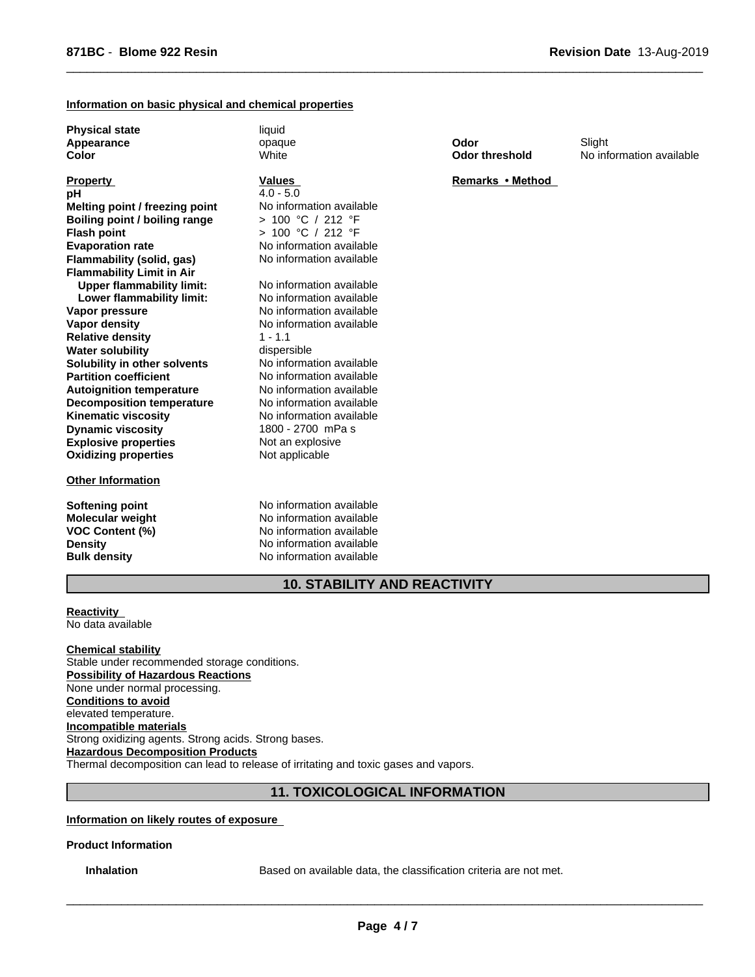## **Information on basic physical and chemical properties**

**Physical state** liquid **Appearance Color**

**Explosive properties** Not an explosive **Oxidizing properties** Not applicable **Partition coefficient No information available**<br> **Autoignition temperature No information available Autoignition temperature No information available**<br> **Decomposition temperature No information available Flash point Decomposition temperature Kinematic viscosity** No information available **Dynamic viscosity** 1800 - 2700 mPa s **Property Flammability (solid, gas) Flammability Limit in Air**<br>**Ilnner flammability limit:** No information available **Upper flammability limit:** No information available<br>**I ower flammability limit:** No information available **pH** 4.0 - 5.0 **Lower flammability limit: Vapor pressure** The Section of No information available **Vapor density No information available Melting point / freezing point** No information available **Relative density** 1 - 1.1 **Water solubility** dispersible **Solubility in other solvents** No information available **Boiling point / boiling range** > 100 °C / 212 °F

#### **Other Information**

> 100 °C / 212 °F No information available<br>No information available **Values** 

opaque

**White** 

**Softening point** No information available **Molecular weight** No information available **VOC Content (%)** No information available **Density** No information available **Bulk density** No information available

**10. STABILITY AND REACTIVITY**

**Reactivity**  No data available

**Chemical stability** Stable under recommended storage conditions. **Possibility of Hazardous Reactions** None under normal processing. **Conditions to avoid** elevated temperature. **Incompatible materials** Strong oxidizing agents. Strong acids. Strong bases. **Hazardous Decomposition Products** Thermal decomposition can lead to release of irritating and toxic gases and vapors.

## **11. TOXICOLOGICAL INFORMATION**

**Information on likely routes of exposure** 

**Product Information**

**Inhalation** Based on available data, the classification criteria are not met.

 $\overline{\phantom{a}}$  ,  $\overline{\phantom{a}}$  ,  $\overline{\phantom{a}}$  ,  $\overline{\phantom{a}}$  ,  $\overline{\phantom{a}}$  ,  $\overline{\phantom{a}}$  ,  $\overline{\phantom{a}}$  ,  $\overline{\phantom{a}}$  ,  $\overline{\phantom{a}}$  ,  $\overline{\phantom{a}}$  ,  $\overline{\phantom{a}}$  ,  $\overline{\phantom{a}}$  ,  $\overline{\phantom{a}}$  ,  $\overline{\phantom{a}}$  ,  $\overline{\phantom{a}}$  ,  $\overline{\phantom{a}}$ 

**Odor**

 $\overline{\phantom{a}}$  ,  $\overline{\phantom{a}}$  ,  $\overline{\phantom{a}}$  ,  $\overline{\phantom{a}}$  ,  $\overline{\phantom{a}}$  ,  $\overline{\phantom{a}}$  ,  $\overline{\phantom{a}}$  ,  $\overline{\phantom{a}}$  ,  $\overline{\phantom{a}}$  ,  $\overline{\phantom{a}}$  ,  $\overline{\phantom{a}}$  ,  $\overline{\phantom{a}}$  ,  $\overline{\phantom{a}}$  ,  $\overline{\phantom{a}}$  ,  $\overline{\phantom{a}}$  ,  $\overline{\phantom{a}}$ 

**Odor threshold** No information available Slight

#### **Remarks•Method**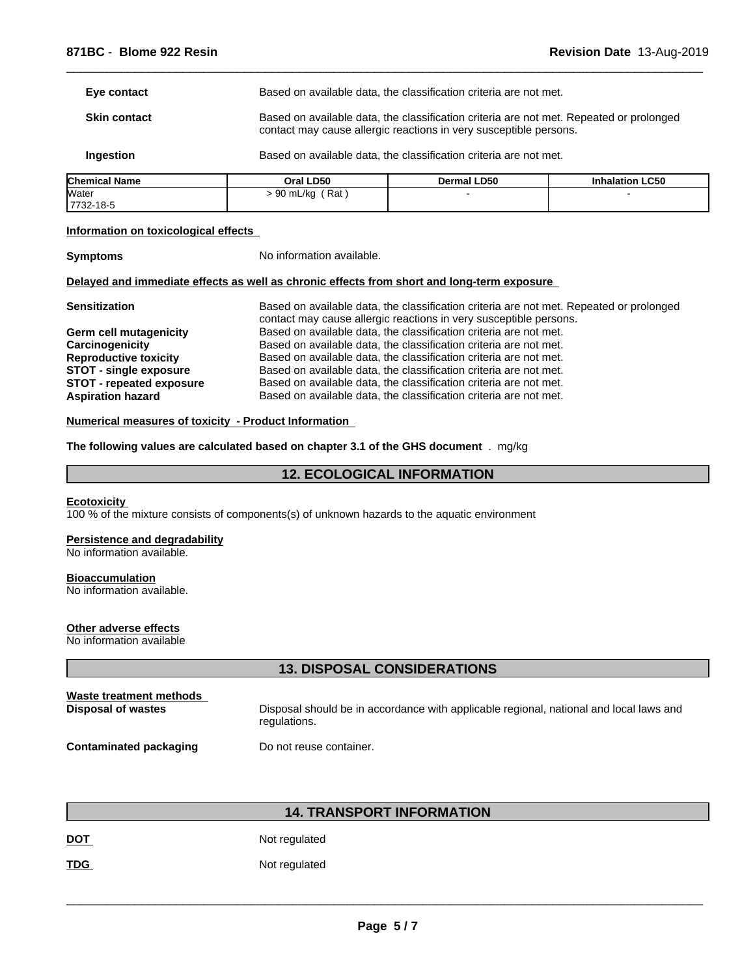| <b>Skin contact</b> | Based on available data, the classification criteria are not met. Repeated or prolonged<br>contact may cause allergic reactions in very susceptible persons. |
|---------------------|--------------------------------------------------------------------------------------------------------------------------------------------------------------|
| Ingestion           | Based on available data, the classification criteria are not met.                                                                                            |

 $\overline{\phantom{a}}$  ,  $\overline{\phantom{a}}$  ,  $\overline{\phantom{a}}$  ,  $\overline{\phantom{a}}$  ,  $\overline{\phantom{a}}$  ,  $\overline{\phantom{a}}$  ,  $\overline{\phantom{a}}$  ,  $\overline{\phantom{a}}$  ,  $\overline{\phantom{a}}$  ,  $\overline{\phantom{a}}$  ,  $\overline{\phantom{a}}$  ,  $\overline{\phantom{a}}$  ,  $\overline{\phantom{a}}$  ,  $\overline{\phantom{a}}$  ,  $\overline{\phantom{a}}$  ,  $\overline{\phantom{a}}$ 

| <b>Chemical</b><br>l Name | Oral LD50       | Dermal LD50 | <b>Inhalation LC50</b> |
|---------------------------|-----------------|-------------|------------------------|
| Water<br>7732-18-5        | Rat<br>90 mL/kg |             |                        |

## **Information on toxicological effects**

**Symptoms** No information available.

## **Delayed and immediate effects as well as chronic effects from short and long-term exposure**

| <b>Sensitization</b><br>contact may cause allergic reactions in very susceptible persons.            | Based on available data, the classification criteria are not met. Repeated or prolonged |
|------------------------------------------------------------------------------------------------------|-----------------------------------------------------------------------------------------|
| Based on available data, the classification criteria are not met.<br>Germ cell mutagenicity          |                                                                                         |
| Based on available data, the classification criteria are not met.<br>Carcinogenicity                 |                                                                                         |
| Based on available data, the classification criteria are not met.<br><b>Reproductive toxicity</b>    |                                                                                         |
| Based on available data, the classification criteria are not met.<br>STOT - single exposure          |                                                                                         |
| Based on available data, the classification criteria are not met.<br><b>STOT - repeated exposure</b> |                                                                                         |
| Based on available data, the classification criteria are not met.<br><b>Aspiration hazard</b>        |                                                                                         |

## **Numerical measures of toxicity - Product Information**

**The following values are calculated based on chapter 3.1 of the GHS document** . mg/kg

## **12. ECOLOGICAL INFORMATION**

#### **Ecotoxicity**

100 % of the mixture consists of components(s) of unknown hazards to the aquatic environment

## **Persistence and degradability**

No information available.

#### **Bioaccumulation**

No information available.

## **Other adverse effects**

No information available

## **13. DISPOSAL CONSIDERATIONS**

| Waste treatment methods | Disposal should be in accordance with applicable regional, national and local laws and |
|-------------------------|----------------------------------------------------------------------------------------|
| Disposal of wastes      | regulations.                                                                           |
| Contaminated packaging  | Do not reuse container.                                                                |

## **14. TRANSPORT INFORMATION**

DOT Not regulated

**TDG** Not regulated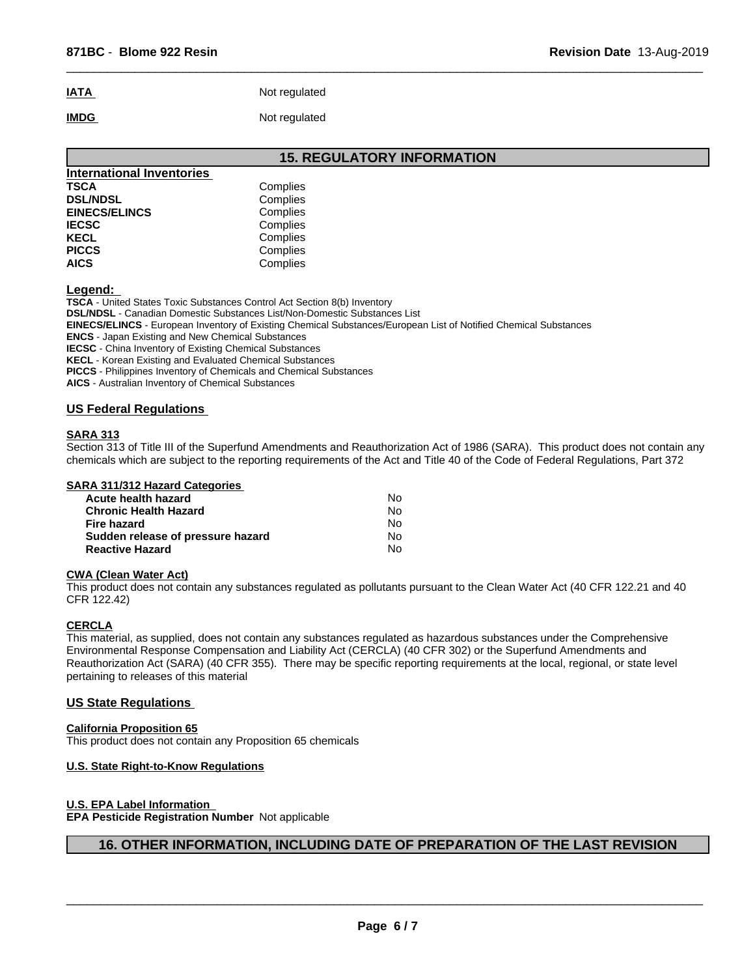# **IATA** Not regulated **IMDG** Not regulated

 $\overline{\phantom{a}}$  ,  $\overline{\phantom{a}}$  ,  $\overline{\phantom{a}}$  ,  $\overline{\phantom{a}}$  ,  $\overline{\phantom{a}}$  ,  $\overline{\phantom{a}}$  ,  $\overline{\phantom{a}}$  ,  $\overline{\phantom{a}}$  ,  $\overline{\phantom{a}}$  ,  $\overline{\phantom{a}}$  ,  $\overline{\phantom{a}}$  ,  $\overline{\phantom{a}}$  ,  $\overline{\phantom{a}}$  ,  $\overline{\phantom{a}}$  ,  $\overline{\phantom{a}}$  ,  $\overline{\phantom{a}}$ 

|                                  | <b>15. REGULATORY INFORMATION</b> |
|----------------------------------|-----------------------------------|
| <b>International Inventories</b> |                                   |
| <b>TSCA</b>                      | Complies                          |
| <b>DSL/NDSL</b>                  | Complies                          |
| <b>EINECS/ELINCS</b>             | Complies                          |
| <b>IECSC</b>                     | Complies                          |
| <b>KECL</b>                      | Complies                          |
| <b>PICCS</b>                     | Complies                          |
| <b>AICS</b>                      | Complies                          |

**Legend:** 

**TSCA** - United States Toxic Substances Control Act Section 8(b) Inventory

**DSL/NDSL** - Canadian Domestic Substances List/Non-Domestic Substances List

**EINECS/ELINCS** - European Inventory of Existing Chemical Substances/European List of Notified Chemical Substances

**ENCS** - Japan Existing and New Chemical Substances

**IECSC** - China Inventory of Existing Chemical Substances

**KECL** - Korean Existing and Evaluated Chemical Substances

**PICCS** - Philippines Inventory of Chemicals and Chemical Substances

**AICS** - Australian Inventory of Chemical Substances

## **US Federal Regulations**

## **SARA 313**

Section 313 of Title III of the Superfund Amendments and Reauthorization Act of 1986 (SARA). This product does not contain any chemicals which are subject to the reporting requirements of the Act and Title 40 of the Code of Federal Regulations, Part 372

### **SARA 311/312 Hazard Categories**

| Acute health hazard               | N٥  |
|-----------------------------------|-----|
| <b>Chronic Health Hazard</b>      | N٥  |
| Fire hazard                       | N٥  |
| Sudden release of pressure hazard | No. |
| <b>Reactive Hazard</b>            | No  |

## **CWA (Clean Water Act)**

This product does not contain any substances regulated as pollutants pursuant to the Clean Water Act (40 CFR 122.21 and 40 CFR 122.42)

## **CERCLA**

This material, as supplied, does not contain any substances regulated as hazardous substances under the Comprehensive Environmental Response Compensation and Liability Act (CERCLA) (40 CFR 302) or the Superfund Amendments and Reauthorization Act (SARA) (40 CFR 355). There may be specific reporting requirements at the local, regional, or state level pertaining to releases of this material

## **US State Regulations**

## **California Proposition 65**

This product does not contain any Proposition 65 chemicals

## **U.S. State Right-to-Know Regulations**

## **U.S. EPA Label Information**

**EPA Pesticide Registration Number** Not applicable

## **16. OTHER INFORMATION, INCLUDING DATE OF PREPARATION OF THE LAST REVISION**